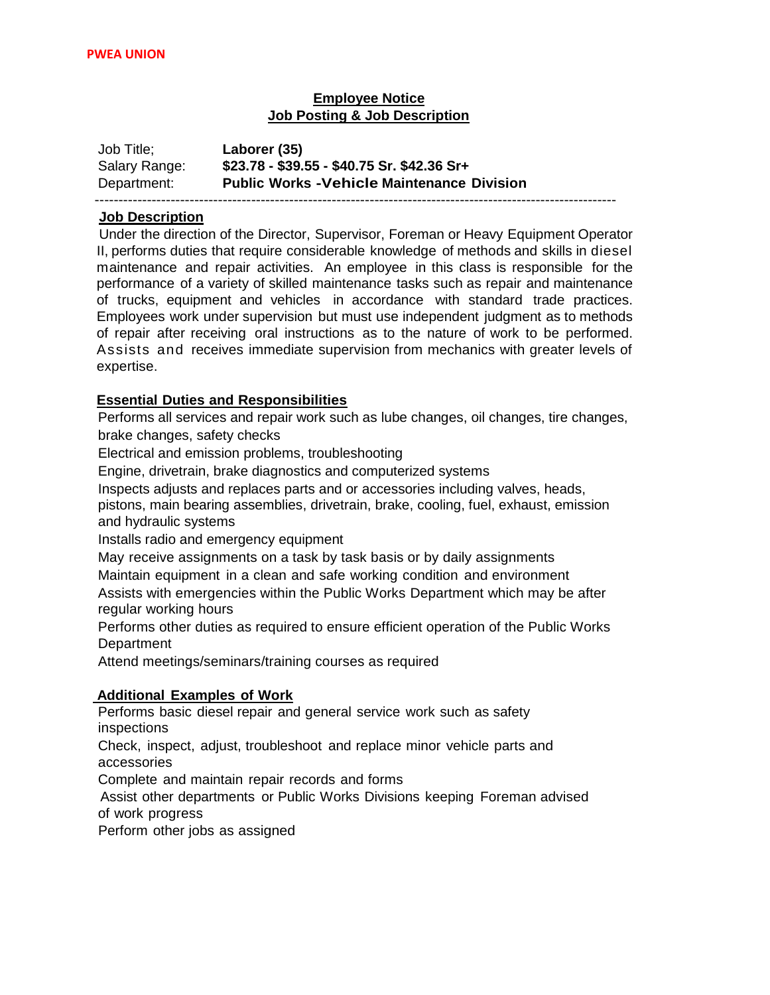# **Employee Notice Job Posting & Job Description**

| Job Title;    | Laborer (35)                                      |
|---------------|---------------------------------------------------|
| Salary Range: | \$23.78 - \$39.55 - \$40.75 Sr. \$42.36 Sr+       |
| Department:   | <b>Public Works -Vehicle Maintenance Division</b> |
|               |                                                   |

### **Job Description**

Under the direction of the Director, Supervisor, Foreman or Heavy Equipment Operator II, performs duties that require considerable knowledge of methods and skills in diesel maintenance and repair activities. An employee in this class is responsible for the performance of a variety of skilled maintenance tasks such as repair and maintenance of trucks, equipment and vehicles in accordance with standard trade practices. Employees work under supervision but must use independent judgment as to methods of repair after receiving oral instructions as to the nature of work to be performed. Assists and receives immediate supervision from mechanics with greater levels of expertise.

## **Essential Duties and Responsibilities**

Performs all services and repair work such as lube changes, oil changes, tire changes, brake changes, safety checks

Electrical and emission problems, troubleshooting

Engine, drivetrain, brake diagnostics and computerized systems

Inspects adjusts and replaces parts and or accessories including valves, heads,

pistons, main bearing assemblies, drivetrain, brake, cooling, fuel, exhaust, emission and hydraulic systems

Installs radio and emergency equipment

May receive assignments on a task by task basis or by daily assignments

Maintain equipment in a clean and safe working condition and environment

Assists with emergencies within the Public Works Department which may be after regular working hours

Performs other duties as required to ensure efficient operation of the Public Works **Department** 

Attend meetings/seminars/training courses as required

### **Additional Examples of Work**

Performs basic diesel repair and general service work such as safety inspections

Check, inspect, adjust, troubleshoot and replace minor vehicle parts and accessories

Complete and maintain repair records and forms

 Assist other departments or Public Works Divisions keeping Foreman advised of work progress

Perform other jobs as assigned